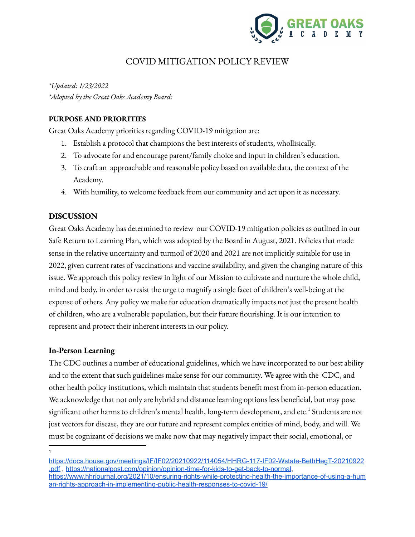

# COVID MITIGATION POLICY REVIEW

*\*Updated: 1/23/2022 \*Adopted by the Great Oaks Academy Board:*

# **PURPOSE AND PRIORITIES**

Great Oaks Academy priorities regarding COVID-19 mitigation are:

- 1. Establish a protocol that champions the best interests of students, whollisically.
- 2. To advocate for and encourage parent/family choice and input in children's education.
- 3. To craft an approachable and reasonable policy based on available data, the context of the Academy.
- 4. With humility, to welcome feedback from our community and act upon it as necessary.

# **DISCUSSION**

Great Oaks Academy has determined to review our COVID-19 mitigation policies as outlined in our Safe Return to Learning Plan, which was adopted by the Board in August, 2021. Policies that made sense in the relative uncertainty and turmoil of 2020 and 2021 are not implicitly suitable for use in 2022, given current rates of vaccinations and vaccine availability, and given the changing nature of this issue. We approach this policy review in light of our Mission to cultivate and nurture the whole child, mind and body, in order to resist the urge to magnify a single facet of children's well-being at the expense of others. Any policy we make for education dramatically impacts not just the present health of children, who are a vulnerable population, but their future flourishing. It is our intention to represent and protect their inherent interests in our policy.

# **In-Person Learning**

The CDC outlines a number of educational guidelines, which we have incorporated to our best ability and to the extent that such guidelines make sense for our community. We agree with the CDC, and other health policy institutions, which maintain that students benefit most from in-person education. We acknowledge that not only are hybrid and distance learning options less beneficial, but may pose significant other harms to children's mental health, long-term development, and etc. $^{\rm 1}$  Students are not just vectors for disease, they are our future and represent complex entities of mind, body, and will. We must be cognizant of decisions we make now that may negatively impact their social, emotional, or

<sup>1</sup>

[https://docs.house.gov/meetings/IF/IF02/20210922/114054/HHRG-117-IF02-Wstate-BethHegT-20210922](https://docs.house.gov/meetings/IF/IF02/20210922/114054/HHRG-117-IF02-Wstate-BethHegT-20210922.pdf) [.pdf](https://docs.house.gov/meetings/IF/IF02/20210922/114054/HHRG-117-IF02-Wstate-BethHegT-20210922.pdf) , [https://nationalpost.com/opinion/opinion-time-for-kids-to-get-back-to-normal,](https://nationalpost.com/opinion/opinion-time-for-kids-to-get-back-to-normal) [https://www.hhrjournal.org/2021/10/ensuring-rights-while-protecting-health-the-importance-of-using-a-hum](https://www.hhrjournal.org/2021/10/ensuring-rights-while-protecting-health-the-importance-of-using-a-human-rights-approach-in-implementing-public-health-responses-to-covid-19/) [an-rights-approach-in-implementing-public-health-responses-to-covid-19/](https://www.hhrjournal.org/2021/10/ensuring-rights-while-protecting-health-the-importance-of-using-a-human-rights-approach-in-implementing-public-health-responses-to-covid-19/)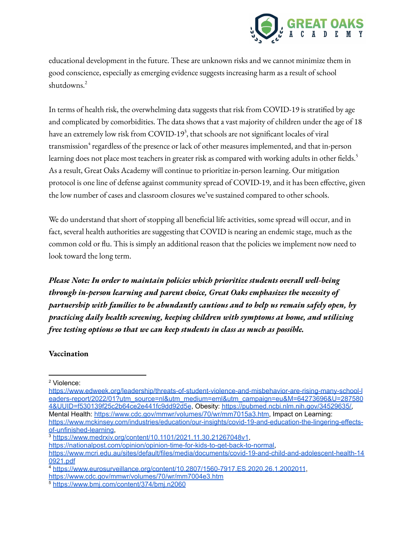

educational development in the future. These are unknown risks and we cannot minimize them in good conscience, especially as emerging evidence suggests increasing harm as a result of school shutdowns. 2

In terms of health risk, the overwhelming data suggests that risk from COVID-19 is stratified by age and complicated by comorbidities. The data shows that a vast majority of children under the age of 18 have an extremely low risk from COVID-19<sup>3</sup>, that schools are not significant locales of viral transmission<sup>4</sup> regardless of the presence or lack of other measures implemented, and that in-person learning does not place most teachers in greater risk as compared with working adults in other fields. 5 As a result, Great Oaks Academy will continue to prioritize in-person learning. Our mitigation protocol is one line of defense against community spread of COVID-19, and it has been effective, given the low number of cases and classroom closures we've sustained compared to other schools.

We do understand that short of stopping all beneficial life activities, some spread will occur, and in fact, several health authorities are suggesting that COVID is nearing an endemic stage, much as the common cold or flu. This is simply an additional reason that the policies we implement now need to look toward the long term.

*Please Note: In order to maintain policies which prioritize students overall well-being through in-person learning and parent choice, Great Oaks emphasizes the necessity of partnership with families to be abundantly cautious and to help us remain safely open, by practicing daily health screening, keeping children with symptoms at home, and utilizing free testing options so that we can keep students in class as much as possible.*

#### **Vaccination**

<sup>2</sup> Violence:

[https://www.edweek.org/leadership/threats-of-student-violence-and-misbehavior-are-rising-many-school-l](https://www.edweek.org/leadership/threats-of-student-violence-and-misbehavior-are-rising-many-school-leaders-report/2022/01?utm_source=nl&utm_medium=eml&utm_campaign=eu&M=64273696&U=2875804&UUID=f530139f25c2b64ce2e441fc9dd92d5e) [eaders-report/2022/01?utm\\_source=nl&utm\\_medium=eml&utm\\_campaign=eu&M=64273696&U=287580](https://www.edweek.org/leadership/threats-of-student-violence-and-misbehavior-are-rising-many-school-leaders-report/2022/01?utm_source=nl&utm_medium=eml&utm_campaign=eu&M=64273696&U=2875804&UUID=f530139f25c2b64ce2e441fc9dd92d5e) [4&UUID=f530139f25c2b64ce2e441fc9dd92d5e](https://www.edweek.org/leadership/threats-of-student-violence-and-misbehavior-are-rising-many-school-leaders-report/2022/01?utm_source=nl&utm_medium=eml&utm_campaign=eu&M=64273696&U=2875804&UUID=f530139f25c2b64ce2e441fc9dd92d5e), Obesity: [https://pubmed.ncbi.nlm.nih.gov/34529635/,](https://pubmed.ncbi.nlm.nih.gov/34529635/) Mental Health: [https://www.cdc.gov/mmwr/volumes/70/wr/mm7015a3.htm,](https://www.cdc.gov/mmwr/volumes/70/wr/mm7015a3.htm) Impact on Learning: [https://www.mckinsey.com/industries/education/our-insights/covid-19-and-education-the-lingering-effects](https://www.mckinsey.com/industries/education/our-insights/covid-19-and-education-the-lingering-effects-of-unfinished-learning)[of-unfinished-learning](https://www.mckinsey.com/industries/education/our-insights/covid-19-and-education-the-lingering-effects-of-unfinished-learning),

<sup>3</sup> <https://www.medrxiv.org/content/10.1101/2021.11.30.21267048v1>,

[https://nationalpost.com/opinion/opinion-time-for-kids-to-get-back-to-normal,](https://nationalpost.com/opinion/opinion-time-for-kids-to-get-back-to-normal) [https://www.mcri.edu.au/sites/default/files/media/documents/covid-19-and-child-and-adolescent-health-14](https://www.mcri.edu.au/sites/default/files/media/documents/covid-19-and-child-and-adolescent-health-140921.pdf) [0921.pdf](https://www.mcri.edu.au/sites/default/files/media/documents/covid-19-and-child-and-adolescent-health-140921.pdf)

<sup>4</sup> <https://www.eurosurveillance.org/content/10.2807/1560-7917.ES.2020.26.1.2002011>,

<https://www.cdc.gov/mmwr/volumes/70/wr/mm7004e3.htm>

<sup>5</sup> <https://www.bmj.com/content/374/bmj.n2060>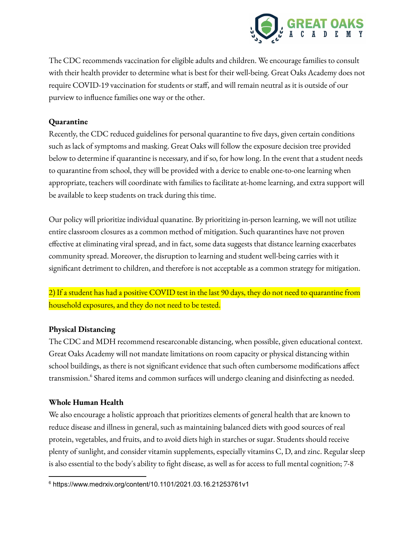

The CDC recommends vaccination for eligible adults and children. We encourage families to consult with their health provider to determine what is best for their well-being. Great Oaks Academy does not require COVID-19 vaccination for students or staff, and will remain neutral as it is outside of our purview to influence families one way or the other.

## **Quarantine**

Recently, the CDC reduced guidelines for personal quarantine to five days, given certain conditions such as lack of symptoms and masking. Great Oaks will follow the exposure decision tree provided below to determine if quarantine is necessary, and if so, for how long. In the event that a student needs to quarantine from school, they will be provided with a device to enable one-to-one learning when appropriate, teachers will coordinate with families to facilitate at-home learning, and extra support will be available to keep students on track during this time.

Our policy will prioritize individual quanatine. By prioritizing in-person learning, we will not utilize entire classroom closures as a common method of mitigation. Such quarantines have not proven effective at eliminating viral spread, and in fact, some data suggests that distance learning exacerbates community spread. Moreover, the disruption to learning and student well-being carries with it significant detriment to children, and therefore is not acceptable as a common strategy for mitigation.

2) If a student has had a positive COVID test in the last 90 days, they do not need to quarantine from household exposures, and they do not need to be tested.

# **Physical Distancing**

The CDC and MDH recommend researconable distancing, when possible, given educational context. Great Oaks Academy will not mandate limitations on room capacity or physical distancing within school buildings, as there is not significant evidence that such often cumbersome modifications affect transmission. <sup>6</sup> Shared items and common surfaces will undergo cleaning and disinfecting as needed.

# **Whole Human Health**

We also encourage a holistic approach that prioritizes elements of general health that are known to reduce disease and illness in general, such as maintaining balanced diets with good sources of real protein, vegetables, and fruits, and to avoid diets high in starches or sugar. Students should receive plenty of sunlight, and consider vitamin supplements, especially vitamins C, D, and zinc. Regular sleep is also essential to the body's ability to fight disease, as well as for access to full mental cognition; 7-8

<sup>6</sup> https://www.medrxiv.org/content/10.1101/2021.03.16.21253761v1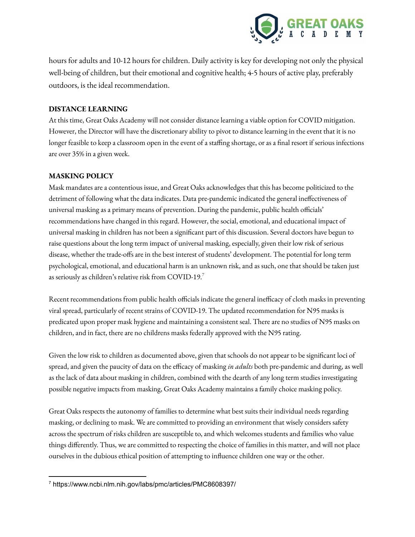

hours for adults and 10-12 hours for children. Daily activity is key for developing not only the physical well-being of children, but their emotional and cognitive health; 4-5 hours of active play, preferably outdoors, is the ideal recommendation.

#### **DISTANCE LEARNING**

At this time, Great Oaks Academy will not consider distance learning a viable option for COVID mitigation. However, the Director will have the discretionary ability to pivot to distance learning in the event that it is no longer feasible to keep a classroom open in the event of a staffing shortage, or as a final resort if serious infections are over 35% in a given week.

#### **MASKING POLICY**

Mask mandates are a contentious issue, and Great Oaks acknowledges that this has become politicized to the detriment of following what the data indicates. Data pre-pandemic indicated the general ineffectiveness of universal masking as a primary means of prevention. During the pandemic, public health officials' recommendations have changed in this regard. However, the social, emotional, and educational impact of universal masking in children has not been a significant part of this discussion. Several doctors have begun to raise questions about the long term impact of universal masking, especially, given their low risk of serious disease, whether the trade-offs are in the best interest of students' development. The potential for long term psychological, emotional, and educational harm is an unknown risk, and as such, one that should be taken just as seriously as children's relative risk from COVID-19. $^7$ 

Recent recommendations from public health officials indicate the general inefficacy of cloth masks in preventing viral spread, particularly of recent strains of COVID-19. The updated recommendation for N95 masks is predicated upon proper mask hygiene and maintaining a consistent seal. There are no studies of N95 masks on children, and in fact, there are no childrens masks federally approved with the N95 rating.

Given the low risk to children as documented above, given that schools do not appear to be significant loci of spread, and given the paucity of data on the efficacy of masking *in adults* both pre-pandemic and during, as well as the lack of data about masking in children, combined with the dearth of any long term studies investigating possible negative impacts from masking, Great Oaks Academy maintains a family choice masking policy.

Great Oaks respects the autonomy of families to determine what best suits their individual needs regarding masking, or declining to mask. We are committed to providing an environment that wisely considers safety across the spectrum of risks children are susceptible to, and which welcomes students and families who value things differently. Thus, we are committed to respecting the choice of families in this matter, and will not place ourselves in the dubious ethical position of attempting to influence children one way or the other.

<sup>7</sup> https://www.ncbi.nlm.nih.gov/labs/pmc/articles/PMC8608397/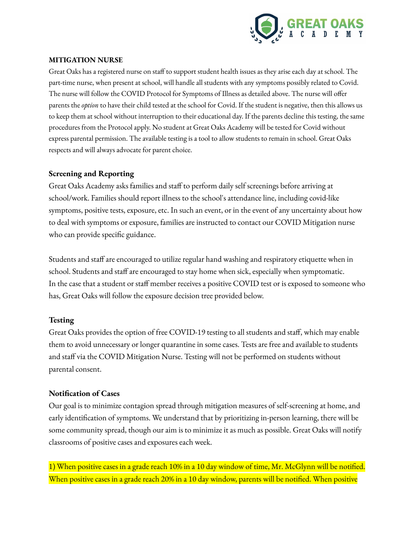

### **MITIGATION NURSE**

Great Oaks has a registered nurse on staff to support student health issues as they arise each day at school. The part-time nurse, when present at school, will handle all students with any symptoms possibly related to Covid. The nurse will follow the COVID Protocol for Symptoms of Illness as detailed above. The nurse will offer parents the *option* to have their child tested at the school for Covid. If the student is negative, then this allows us to keep them at school without interruption to their educational day. If the parents decline this testing, the same procedures from the Protocol apply. No student at Great Oaks Academy will be tested for Covid without express parental permission. The available testing is a tool to allow students to remain in school. Great Oaks respects and will always advocate for parent choice.

# **Screening and Reporting**

Great Oaks Academy asks families and staff to perform daily self screenings before arriving at school/work. Families should report illness to the school's attendance line, including covid-like symptoms, positive tests, exposure, etc. In such an event, or in the event of any uncertainty about how to deal with symptoms or exposure, families are instructed to contact our COVID Mitigation nurse who can provide specific guidance.

Students and staff are encouraged to utilize regular hand washing and respiratory etiquette when in school. Students and staff are encouraged to stay home when sick, especially when symptomatic. In the case that a student or staff member receives a positive COVID test or is exposed to someone who has, Great Oaks will follow the exposure decision tree provided below.

# **Testing**

Great Oaks provides the option of free COVID-19 testing to all students and staff, which may enable them to avoid unnecessary or longer quarantine in some cases. Tests are free and available to students and staff via the COVID Mitigation Nurse. Testing will not be performed on students without parental consent.

# **Notification of Cases**

Our goal is to minimize contagion spread through mitigation measures of self-screening at home, and early identification of symptoms. We understand that by prioritizing in-person learning, there will be some community spread, though our aim is to minimize it as much as possible. Great Oaks will notify classrooms of positive cases and exposures each week.

1) When positive cases in a grade reach 10% in a 10 day window of time, Mr. McGlynn will be notified. When positive cases in a grade reach 20% in a 10 day window, parents will be notified. When positive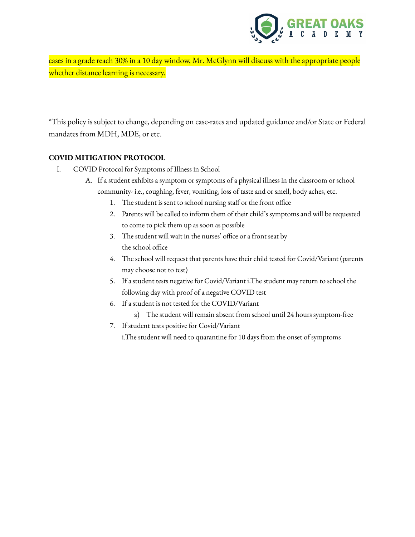

cases in a grade reach 30% in a 10 day window, Mr. McGlynn will discuss with the appropriate people whether distance learning is necessary.

\*This policy is subject to change, depending on case-rates and updated guidance and/or State or Federal mandates from MDH, MDE, or etc.

#### **COVID MITIGATION PROTOCOL**

- I. COVID Protocol for Symptoms of Illness in School
	- A. If a student exhibits a symptom or symptoms of a physical illness in the classroom or school community- i.e., coughing, fever, vomiting, loss of taste and or smell, body aches, etc.
		- 1. The student is sent to school nursing staff or the front office
		- 2. Parents will be called to inform them of their child's symptoms and will be requested to come to pick them up as soon as possible
		- 3. The student will wait in the nurses' office or a front seat by the school office
		- 4. The school will request that parents have their child tested for Covid/Variant (parents may choose not to test)
		- 5. If a student tests negative for Covid/Variant i.The student may return to school the following day with proof of a negative COVID test
		- 6. If a student is not tested for the COVID/Variant
			- a) The student will remain absent from school until 24 hours symptom-free
		- 7. If student tests positive for Covid/Variant

i.The student will need to quarantine for 10 days from the onset of symptoms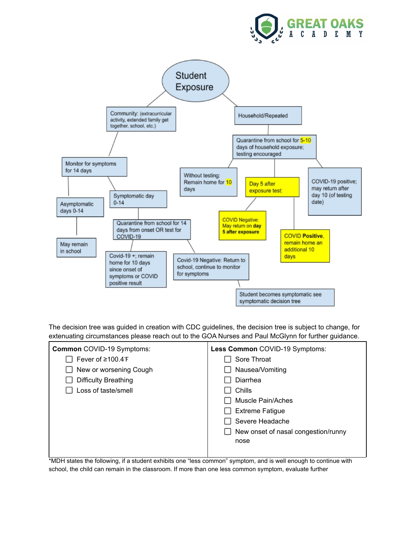



The decision tree was guided in creation with CDC guidelines, the decision tree is subject to change, for extenuating circumstances please reach out to the GOA Nurses and Paul McGlynn for further guidance.



\*MDH states the following, if a student exhibits one "less common" symptom, and is well enough to continue with school, the child can remain in the classroom. If more than one less common symptom, evaluate further